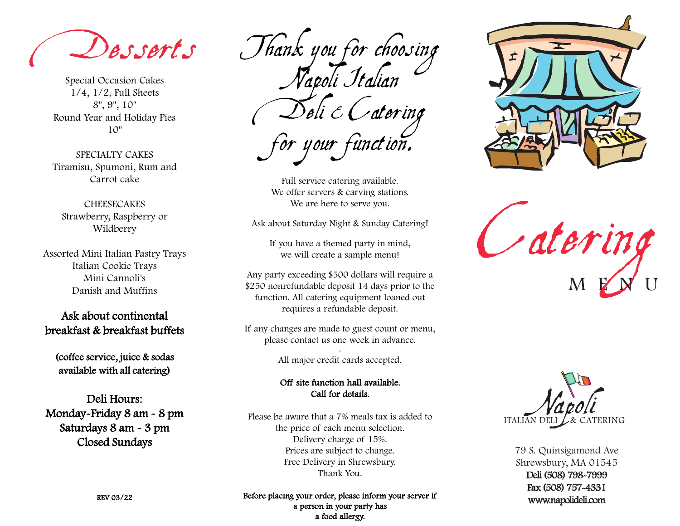Desserts

Special Occasion Cakes 1/4, 1/2, Full Sheets 8", 9", 10" Round Year and Holiday Pies 10"

SPECIALTY CAKES Tiramisu, Spumoni, Rum and Carrot cake

**CHEESECAKES** Strawberry, Raspberry or Wildberry

Assorted Mini Italian Pastry Trays Italian Cookie Trays Mini Cannoli's Danish and Muffins

Ask about continental breakfast & breakfast buffets

(coffee service, juice & sodas available with all catering)

Deli Hours: Monday-Friday 8 am - 8 pm Saturdays 8 am - 3 pm Closed Sundays

Thank you for choosing Napoli Italian  $\diagup$ Deli  $\mathscr E\mathscr O$ atering for your function.

Full service catering available. We offer servers & carving stations. We are here to serve you.

Ask about Saturday Night & Sunday Catering!

If you have a themed party in mind, we will create a sample menu!

Any party exceeding \$500 dollars will require a \$250 nonrefundable deposit 14 days prior to the function. All catering equipment loaned out requires a refundable deposit.

If any changes are made to guest count or menu, please contact us one week in advance. .

All major credit cards accepted.

## Off site function hall available. Call for details.

Please be aware that a 7% meals tax is added to the price of each menu selection. Delivery charge of 15%. Prices are subject to change. Free Delivery in Shrewsbury. Thank You.



Catering M E N U



79 S. Quinsigamond Ave Shrewsbury, MA 01545 Deli (508) 798-7999 Fax (508) 757-4331 www.napolideli.com

REV 03/22

Before placing your order, please inform your server if a person in your party has a food allergy.